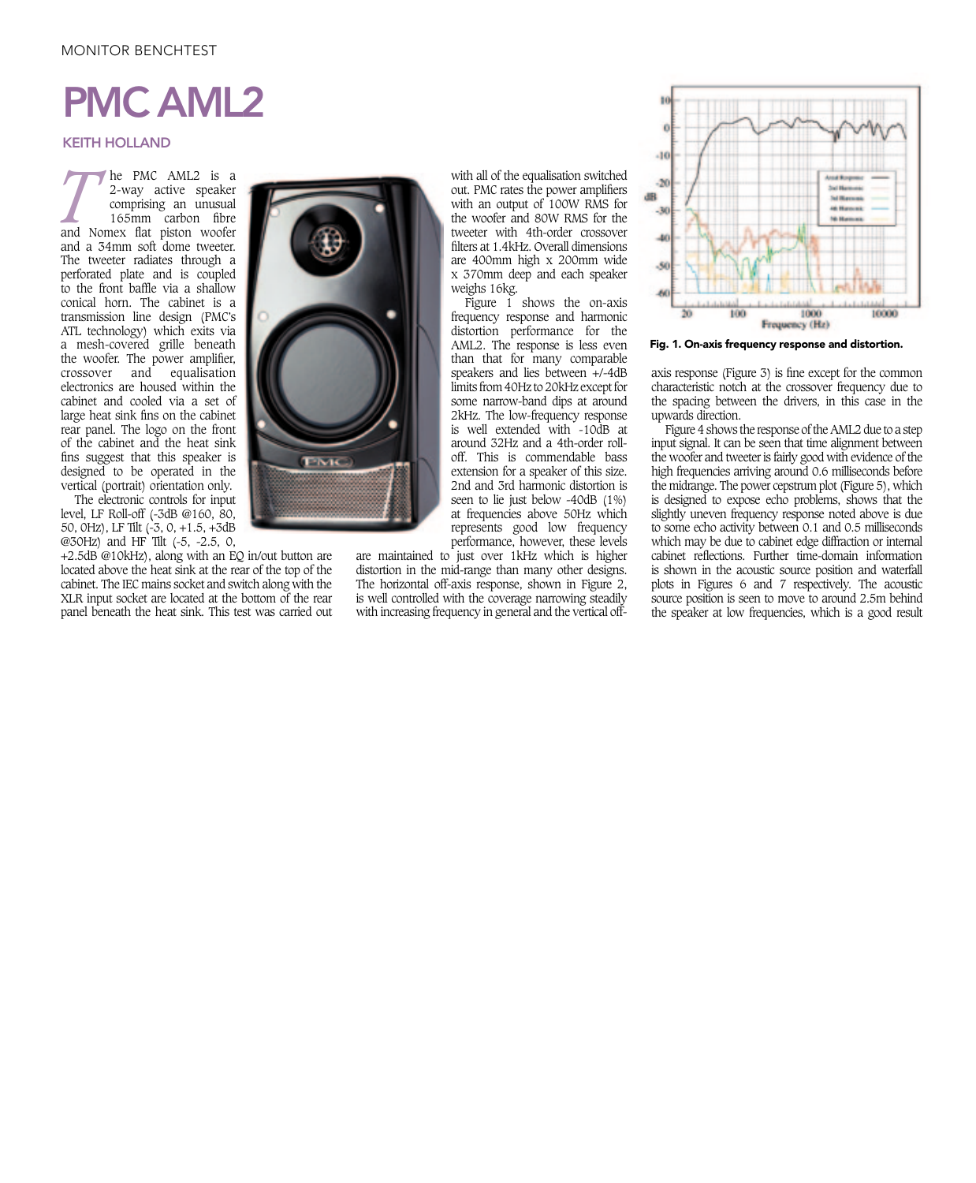## MONITOR BENCHTEST

## PMC AML2

## KEITH HOLLAND

**THE PMC AML2** is a 2-way active speaker comprising an unusual 165mm carbon fibre and Nomex flat piston woofer 2-way active speaker comprising an unusual 165mm carbon fibre and a 34mm soft dome tweeter. The tweeter radiates through a perforated plate and is coupled to the front baffle via a shallow conical horn. The cabinet is a transmission line design (PMC's ATL technology) which exits via a mesh-covered grille beneath the woofer. The power amplifier, crossover and equalisation electronics are housed within the cabinet and cooled via a set of large heat sink fins on the cabinet rear panel. The logo on the front of the cabinet and the heat sink fins suggest that this speaker is designed to be operated in the vertical (portrait) orientation only.

The electronic controls for input level, LF Roll-off (-3dB @160, 80, 50, 0Hz), LF Tilt (-3, 0, +1.5, +3dB @30Hz) and HF Tilt (-5, -2.5, 0,

XLR input socket are located at the bottom of the rear +2.5dB @10kHz), along with an EQ in/out button are located above the heat sink at the rear of the top of the cabinet. The IEC mains socket and switch along with the panel beneath the heat sink. This test was carried out



with all of the equalisation switched out. PMC rates the power amplifiers with an output of 100W RMS for the woofer and 80W RMS for the tweeter with 4th-order crossover filters at 1.4kHz. Overall dimensions are 400mm high x 200mm wide x 370mm deep and each speaker weighs 16kg.

Figure  $\overline{1}$  shows the on-axis frequency response and harmonic distortion performance for the AML2. The response is less even than that for many comparable speakers and lies between +/-4dB limits from 40Hz to 20kHz except for some narrow-band dips at around 2kHz. The low-frequency response is well extended with -10dB at around 32Hz and a 4th-order rolloff. This is commendable bass extension for a speaker of this size. 2nd and 3rd harmonic distortion is seen to lie just below -40dB (1%) at frequencies above 50Hz which represents good low frequency performance, however, these levels

are maintained to just over 1kHz which is higher distortion in the mid-range than many other designs. The horizontal off-axis response, shown in Figure 2, is well controlled with the coverage narrowing steadily with increasing frequency in general and the vertical off-



Fig. 1. On-axis frequency response and distortion.

axis response (Figure 3) is fine except for the common characteristic notch at the crossover frequency due to the spacing between the drivers, in this case in the upwards direction.

Figure 4 shows the response of the AML2 due to a step input signal. It can be seen that time alignment between the woofer and tweeter is fairly good with evidence of the high frequencies arriving around 0.6 milliseconds before the midrange. The power cepstrum plot (Figure 5), which is designed to expose echo problems, shows that the slightly uneven frequency response noted above is due to some echo activity between 0.1 and 0.5 milliseconds which may be due to cabinet edge diffraction or internal cabinet reflections. Further time-domain information is shown in the acoustic source position and waterfall plots in Figures 6 and 7 respectively. The acoustic source position is seen to move to around 2.5m behind the speaker at low frequencies, which is a good result